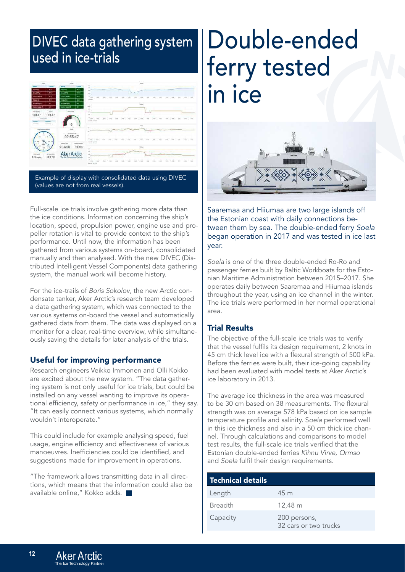# Double-ended ferry tested in ice



Saaremaa and Hiiumaa are two large islands off the Estonian coast with daily connections between them by sea. The double-ended ferry *Soela* began operation in 2017 and was tested in ice last year.

*Soela* is one of the three double-ended Ro-Ro and passenger ferries built by Baltic Workboats for the Estonian Maritime Administration between 2015–2017. She operates daily between Saaremaa and Hiiumaa islands throughout the year, using an ice channel in the winter. The ice trials were performed in her normal operational area.

### Trial Results

The objective of the full-scale ice trials was to verify that the vessel fulfils its design requirement, 2 knots in 45 cm thick level ice with a flexural strength of 500 kPa. Before the ferries were built, their ice-going capability had been evaluated with model tests at Aker Arctic's ice laboratory in 2013.

The average ice thickness in the area was measured to be 30 cm based on 38 measurements. The flexural strength was on average 578 kPa based on ice sample temperature profile and salinity. S*oela* performed well in this ice thickness and also in a 50 cm thick ice channel. Through calculations and comparisons to model test results, the full-scale ice trials verified that the Estonian double-ended ferries *Kihnu Virve, Ormso* and *Soela* fulfil their design requirements.

| <b>Technical details</b> |                                       |
|--------------------------|---------------------------------------|
| Length                   | 45 m                                  |
| <b>Breadth</b>           | 12,48 m                               |
| Capacity                 | 200 persons,<br>32 cars or two trucks |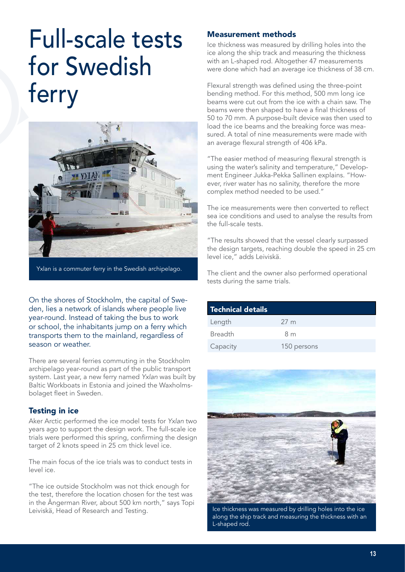# Full-scale tests for Swedish ferry



Yxlan is a commuter ferry in the Swedish archipelago.

On the shores of Stockholm, the capital of Sweden, lies a network of islands where people live year-round. Instead of taking the bus to work or school, the inhabitants jump on a ferry which transports them to the mainland, regardless of season or weather.

There are several ferries commuting in the Stockholm archipelago year-round as part of the public transport system. Last year, a new ferry named *Yxlan* was built by Baltic Workboats in Estonia and joined the Waxholmsbolaget fleet in Sweden.

### Testing in ice

Aker Arctic performed the ice model tests for *Yxlan* two years ago to support the design work. The full-scale ice trials were performed this spring, confirming the design target of 2 knots speed in 25 cm thick level ice.

The main focus of the ice trials was to conduct tests in level ice.

"The ice outside Stockholm was not thick enough for the test, therefore the location chosen for the test was in the Ångerman River, about 500 km north," says Topi Leiviskä, Head of Research and Testing.

### Measurement methods

Ice thickness was measured by drilling holes into the ice along the ship track and measuring the thickness with an L-shaped rod. Altogether 47 measurements were done which had an average ice thickness of 38 cm.

Flexural strength was defined using the three-point bending method. For this method, 500 mm long ice beams were cut out from the ice with a chain saw. The beams were then shaped to have a final thickness of 50 to 70 mm. A purpose-built device was then used to load the ice beams and the breaking force was measured. A total of nine measurements were made with an average flexural strength of 406 kPa.

"The easier method of measuring flexural strength is using the water's salinity and temperature," Development Engineer Jukka-Pekka Sallinen explains. "However, river water has no salinity, therefore the more complex method needed to be used."

The ice measurements were then converted to reflect sea ice conditions and used to analyse the results from the full-scale tests.

"The results showed that the vessel clearly surpassed the design targets, reaching double the speed in 25 cm level ice," adds Leiviskä.

The client and the owner also performed operational tests during the same trials.

| <b>Technical details</b> |                 |
|--------------------------|-----------------|
| Length                   | 27 <sub>m</sub> |
| <b>Breadth</b>           | 8 <sub>m</sub>  |
| Capacity                 | 150 persons     |



Ice thickness was measured by drilling holes into the ice along the ship track and measuring the thickness with an L-shaped rod.